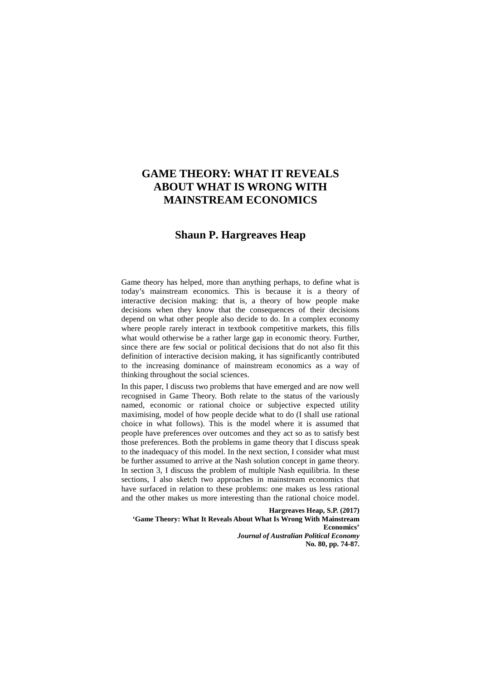# **GAME THEORY: WHAT IT REVEALS ABOUT WHAT IS WRONG WITH MAINSTREAM ECONOMICS**

## **Shaun P. Hargreaves Heap**

Game theory has helped, more than anything perhaps, to define what is today's mainstream economics. This is because it is a theory of interactive decision making: that is, a theory of how people make decisions when they know that the consequences of their decisions depend on what other people also decide to do. In a complex economy where people rarely interact in textbook competitive markets, this fills what would otherwise be a rather large gap in economic theory. Further, since there are few social or political decisions that do not also fit this definition of interactive decision making, it has significantly contributed to the increasing dominance of mainstream economics as a way of thinking throughout the social sciences.

In this paper, I discuss two problems that have emerged and are now well recognised in Game Theory. Both relate to the status of the variously named, economic or rational choice or subjective expected utility maximising, model of how people decide what to do (I shall use rational choice in what follows). This is the model where it is assumed that people have preferences over outcomes and they act so as to satisfy best those preferences. Both the problems in game theory that I discuss speak to the inadequacy of this model. In the next section, I consider what must be further assumed to arrive at the Nash solution concept in game theory. In section 3, I discuss the problem of multiple Nash equilibria. In these sections, I also sketch two approaches in mainstream economics that have surfaced in relation to these problems: one makes us less rational and the other makes us more interesting than the rational choice model.

**Hargreaves Heap, S.P. (2017) 'Game Theory: What It Reveals About What Is Wrong With Mainstream Economics'**  *Journal of Australian Political Economy* **No. 80, pp. 74-87.**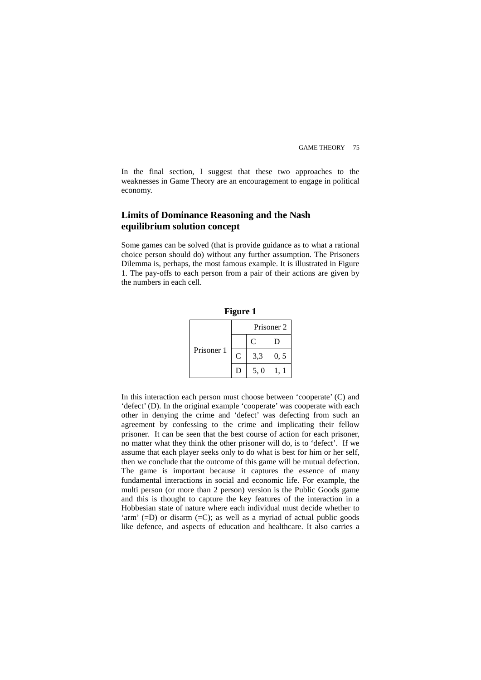In the final section, I suggest that these two approaches to the weaknesses in Game Theory are an encouragement to engage in political economy.

### **Limits of Dominance Reasoning and the Nash equilibrium solution concept**

Some games can be solved (that is provide guidance as to what a rational choice person should do) without any further assumption. The Prisoners Dilemma is, perhaps, the most famous example. It is illustrated in Figure 1. The pay-offs to each person from a pair of their actions are given by the numbers in each cell.

**Figure 1** Prisoner 1 Prisoner 2  $C \cap D$  $C$  3,3 0, 5  $D = 5, 0 \mid 1, 1$ 

In this interaction each person must choose between 'cooperate' (C) and 'defect' (D). In the original example 'cooperate' was cooperate with each other in denying the crime and 'defect' was defecting from such an agreement by confessing to the crime and implicating their fellow prisoner. It can be seen that the best course of action for each prisoner, no matter what they think the other prisoner will do, is to 'defect'. If we assume that each player seeks only to do what is best for him or her self, then we conclude that the outcome of this game will be mutual defection. The game is important because it captures the essence of many fundamental interactions in social and economic life. For example, the multi person (or more than 2 person) version is the Public Goods game and this is thought to capture the key features of the interaction in a Hobbesian state of nature where each individual must decide whether to 'arm'  $(=D)$  or disarm  $(=C)$ ; as well as a myriad of actual public goods like defence, and aspects of education and healthcare. It also carries a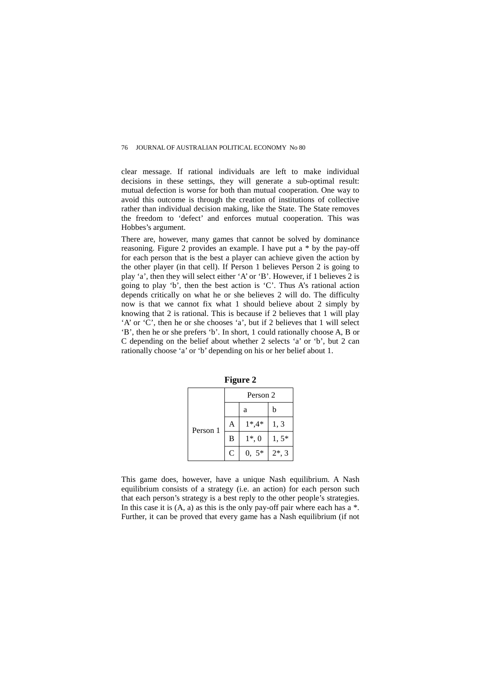clear message. If rational individuals are left to make individual decisions in these settings, they will generate a sub-optimal result: mutual defection is worse for both than mutual cooperation. One way to avoid this outcome is through the creation of institutions of collective rather than individual decision making, like the State. The State removes the freedom to 'defect' and enforces mutual cooperation. This was Hobbes's argument.

There are, however, many games that cannot be solved by dominance reasoning. Figure 2 provides an example. I have put a \* by the pay-off for each person that is the best a player can achieve given the action by the other player (in that cell). If Person 1 believes Person 2 is going to play 'a', then they will select either 'A' or 'B'. However, if 1 believes 2 is going to play 'b', then the best action is 'C'. Thus A's rational action depends critically on what he or she believes 2 will do. The difficulty now is that we cannot fix what 1 should believe about 2 simply by knowing that 2 is rational. This is because if 2 believes that 1 will play 'A' or 'C', then he or she chooses 'a', but if 2 believes that 1 will select 'B', then he or she prefers 'b'. In short, 1 could rationally choose A, B or C depending on the belief about whether 2 selects 'a' or 'b', but 2 can rationally choose 'a' or 'b' depending on his or her belief about 1.

|          | Person 2     |          |           |
|----------|--------------|----------|-----------|
| Person 1 |              | a        | b         |
|          | А            | $1*, 4*$ | 1, 3      |
|          | B            | $1*, 0$  | $1, 5*$   |
|          | $\mathsf{C}$ | $0, 5*$  | $2^*$ . 3 |

**Figure 2**

This game does, however, have a unique Nash equilibrium. A Nash equilibrium consists of a strategy (i.e. an action) for each person such that each person's strategy is a best reply to the other people's strategies. In this case it is  $(A, a)$  as this is the only pay-off pair where each has a  $*$ . Further, it can be proved that every game has a Nash equilibrium (if not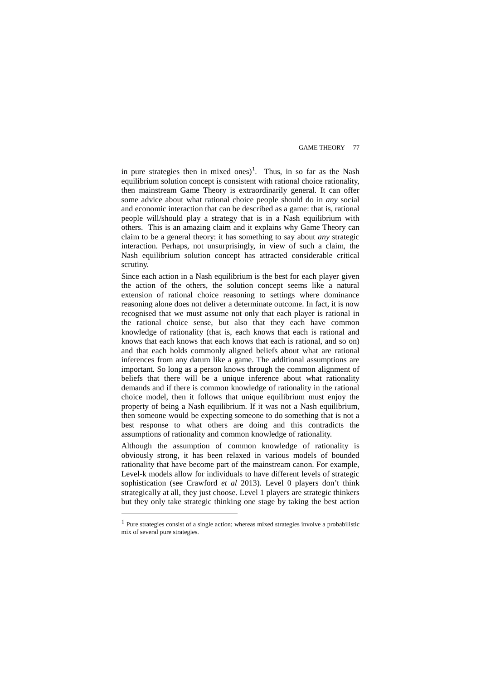in pure strategies then in mixed ones)<sup>[1](#page-3-0)</sup>. Thus, in so far as the Nash equilibrium solution concept is consistent with rational choice rationality, then mainstream Game Theory is extraordinarily general. It can offer some advice about what rational choice people should do in *any* social and economic interaction that can be described as a game: that is, rational people will/should play a strategy that is in a Nash equilibrium with others. This is an amazing claim and it explains why Game Theory can claim to be a general theory: it has something to say about *any* strategic interaction. Perhaps, not unsurprisingly, in view of such a claim, the Nash equilibrium solution concept has attracted considerable critical scrutiny.

Since each action in a Nash equilibrium is the best for each player given the action of the others, the solution concept seems like a natural extension of rational choice reasoning to settings where dominance reasoning alone does not deliver a determinate outcome. In fact, it is now recognised that we must assume not only that each player is rational in the rational choice sense, but also that they each have common knowledge of rationality (that is, each knows that each is rational and knows that each knows that each knows that each is rational, and so on) and that each holds commonly aligned beliefs about what are rational inferences from any datum like a game. The additional assumptions are important. So long as a person knows through the common alignment of beliefs that there will be a unique inference about what rationality demands and if there is common knowledge of rationality in the rational choice model, then it follows that unique equilibrium must enjoy the property of being a Nash equilibrium. If it was not a Nash equilibrium, then someone would be expecting someone to do something that is not a best response to what others are doing and this contradicts the assumptions of rationality and common knowledge of rationality.

Although the assumption of common knowledge of rationality is obviously strong, it has been relaxed in various models of bounded rationality that have become part of the mainstream canon. For example, Level-k models allow for individuals to have different levels of strategic sophistication (see Crawford *et al* 2013). Level 0 players don't think strategically at all, they just choose. Level 1 players are strategic thinkers but they only take strategic thinking one stage by taking the best action

 $\overline{a}$ 

<span id="page-3-0"></span><sup>1</sup> Pure strategies consist of a single action; whereas mixed strategies involve a probabilistic mix of several pure strategies.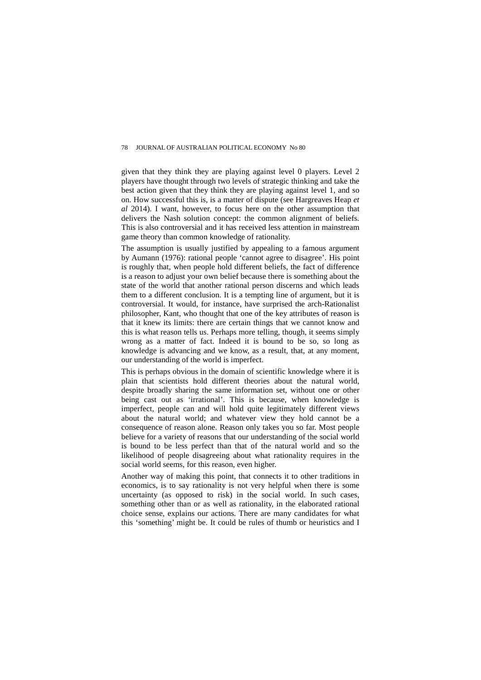given that they think they are playing against level 0 players. Level 2 players have thought through two levels of strategic thinking and take the best action given that they think they are playing against level 1, and so on. How successful this is, is a matter of dispute (see Hargreaves Heap *et al* 2014). I want, however, to focus here on the other assumption that delivers the Nash solution concept: the common alignment of beliefs. This is also controversial and it has received less attention in mainstream game theory than common knowledge of rationality.

The assumption is usually justified by appealing to a famous argument by Aumann (1976): rational people 'cannot agree to disagree'. His point is roughly that, when people hold different beliefs, the fact of difference is a reason to adjust your own belief because there is something about the state of the world that another rational person discerns and which leads them to a different conclusion. It is a tempting line of argument, but it is controversial. It would, for instance, have surprised the arch-Rationalist philosopher, Kant, who thought that one of the key attributes of reason is that it knew its limits: there are certain things that we cannot know and this is what reason tells us. Perhaps more telling, though, it seems simply wrong as a matter of fact. Indeed it is bound to be so, so long as knowledge is advancing and we know, as a result, that, at any moment, our understanding of the world is imperfect.

This is perhaps obvious in the domain of scientific knowledge where it is plain that scientists hold different theories about the natural world, despite broadly sharing the same information set, without one or other being cast out as 'irrational'. This is because, when knowledge is imperfect, people can and will hold quite legitimately different views about the natural world; and whatever view they hold cannot be a consequence of reason alone. Reason only takes you so far. Most people believe for a variety of reasons that our understanding of the social world is bound to be less perfect than that of the natural world and so the likelihood of people disagreeing about what rationality requires in the social world seems, for this reason, even higher.

Another way of making this point, that connects it to other traditions in economics, is to say rationality is not very helpful when there is some uncertainty (as opposed to risk) in the social world. In such cases, something other than or as well as rationality, in the elaborated rational choice sense, explains our actions. There are many candidates for what this 'something' might be. It could be rules of thumb or heuristics and I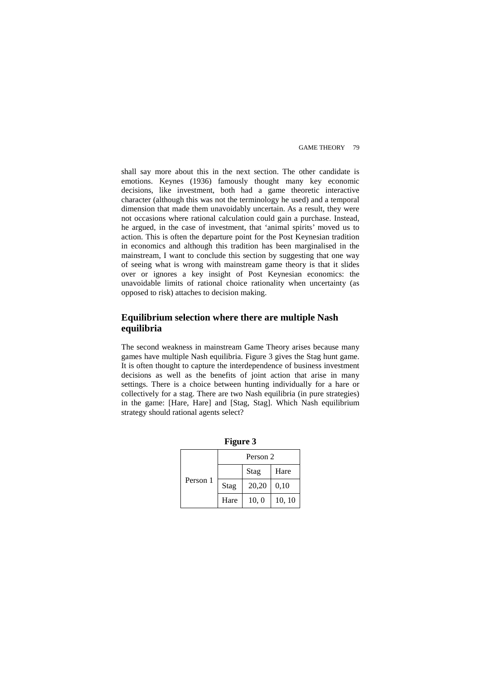shall say more about this in the next section. The other candidate is emotions. Keynes (1936) famously thought many key economic decisions, like investment, both had a game theoretic interactive character (although this was not the terminology he used) and a temporal dimension that made them unavoidably uncertain. As a result, they were not occasions where rational calculation could gain a purchase. Instead, he argued, in the case of investment, that 'animal spirits' moved us to action. This is often the departure point for the Post Keynesian tradition in economics and although this tradition has been marginalised in the mainstream, I want to conclude this section by suggesting that one way of seeing what is wrong with mainstream game theory is that it slides over or ignores a key insight of Post Keynesian economics: the unavoidable limits of rational choice rationality when uncertainty (as opposed to risk) attaches to decision making.

## **Equilibrium selection where there are multiple Nash equilibria**

The second weakness in mainstream Game Theory arises because many games have multiple Nash equilibria. Figure 3 gives the Stag hunt game. It is often thought to capture the interdependence of business investment decisions as well as the benefits of joint action that arise in many settings. There is a choice between hunting individually for a hare or collectively for a stag. There are two Nash equilibria (in pure strategies) in the game: [Hare, Hare] and [Stag, Stag]. Which Nash equilibrium strategy should rational agents select?

| Person 1 | Person 2 |       |        |  |
|----------|----------|-------|--------|--|
|          |          | Stag  | Hare   |  |
|          | Stag     | 20,20 | 0,10   |  |
|          | Hare     | 10, 0 | 10, 10 |  |

**Figure 3**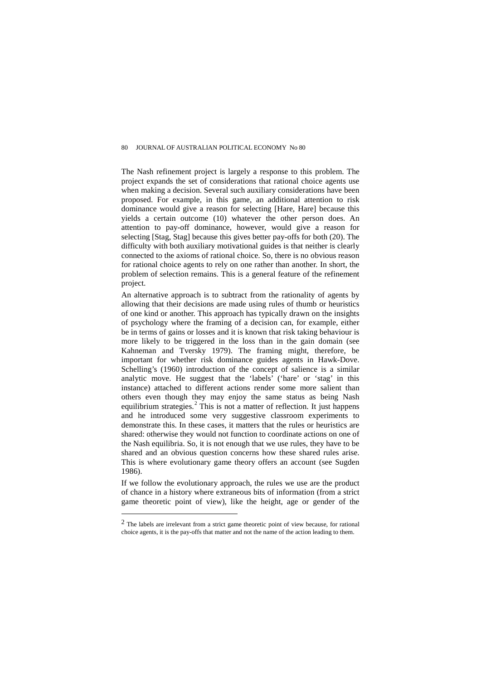The Nash refinement project is largely a response to this problem. The project expands the set of considerations that rational choice agents use when making a decision. Several such auxiliary considerations have been proposed. For example, in this game, an additional attention to risk dominance would give a reason for selecting [Hare, Hare] because this yields a certain outcome (10) whatever the other person does. An attention to pay-off dominance, however, would give a reason for selecting [Stag, Stag] because this gives better pay-offs for both (20). The difficulty with both auxiliary motivational guides is that neither is clearly connected to the axioms of rational choice. So, there is no obvious reason for rational choice agents to rely on one rather than another. In short, the problem of selection remains. This is a general feature of the refinement project.

An alternative approach is to subtract from the rationality of agents by allowing that their decisions are made using rules of thumb or heuristics of one kind or another. This approach has typically drawn on the insights of psychology where the framing of a decision can, for example, either be in terms of gains or losses and it is known that risk taking behaviour is more likely to be triggered in the loss than in the gain domain (see Kahneman and Tversky 1979). The framing might, therefore, be important for whether risk dominance guides agents in Hawk-Dove. Schelling's (1960) introduction of the concept of salience is a similar analytic move. He suggest that the 'labels' ('hare' or 'stag' in this instance) attached to different actions render some more salient than others even though they may enjoy the same status as being Nash equilibrium strategies. $<sup>2</sup>$  $<sup>2</sup>$  $<sup>2</sup>$  This is not a matter of reflection. It just happens</sup> and he introduced some very suggestive classroom experiments to demonstrate this. In these cases, it matters that the rules or heuristics are shared: otherwise they would not function to coordinate actions on one of the Nash equilibria. So, it is not enough that we use rules, they have to be shared and an obvious question concerns how these shared rules arise. This is where evolutionary game theory offers an account (see Sugden 1986).

If we follow the evolutionary approach, the rules we use are the product of chance in a history where extraneous bits of information (from a strict game theoretic point of view), like the height, age or gender of the

 $\overline{a}$ 

<span id="page-6-0"></span><sup>&</sup>lt;sup>2</sup> The labels are irrelevant from a strict game theoretic point of view because, for rational choice agents, it is the pay-offs that matter and not the name of the action leading to them.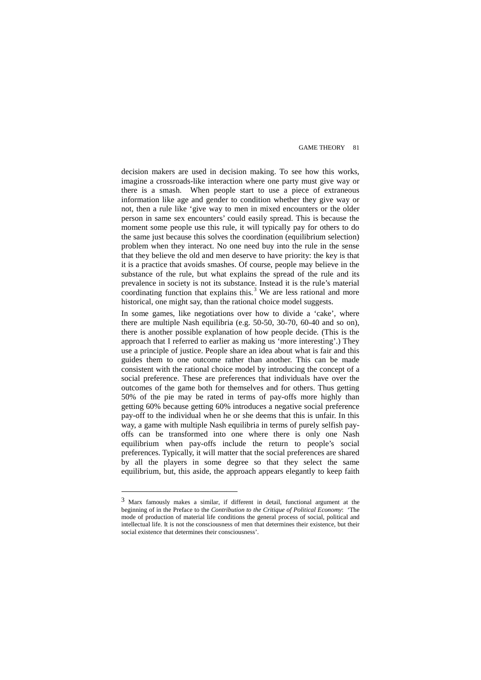decision makers are used in decision making. To see how this works, imagine a crossroads-like interaction where one party must give way or there is a smash. When people start to use a piece of extraneous information like age and gender to condition whether they give way or not, then a rule like 'give way to men in mixed encounters or the older person in same sex encounters' could easily spread. This is because the moment some people use this rule, it will typically pay for others to do the same just because this solves the coordination (equilibrium selection) problem when they interact. No one need buy into the rule in the sense that they believe the old and men deserve to have priority: the key is that it is a practice that avoids smashes. Of course, people may believe in the substance of the rule, but what explains the spread of the rule and its prevalence in society is not its substance. Instead it is the rule's material coordinating function that explains this.<sup>[3](#page-7-0)</sup> We are less rational and more historical, one might say, than the rational choice model suggests.

In some games, like negotiations over how to divide a 'cake', where there are multiple Nash equilibria (e.g. 50-50, 30-70, 60-40 and so on), there is another possible explanation of how people decide. (This is the approach that I referred to earlier as making us 'more interesting'.) They use a principle of justice. People share an idea about what is fair and this guides them to one outcome rather than another. This can be made consistent with the rational choice model by introducing the concept of a social preference. These are preferences that individuals have over the outcomes of the game both for themselves and for others. Thus getting 50% of the pie may be rated in terms of pay-offs more highly than getting 60% because getting 60% introduces a negative social preference pay-off to the individual when he or she deems that this is unfair. In this way, a game with multiple Nash equilibria in terms of purely selfish payoffs can be transformed into one where there is only one Nash equilibrium when pay-offs include the return to people's social preferences. Typically, it will matter that the social preferences are shared by all the players in some degree so that they select the same equilibrium, but, this aside, the approach appears elegantly to keep faith

-

<span id="page-7-0"></span><sup>3</sup> Marx famously makes a similar, if different in detail, functional argument at the beginning of in the Preface to the *Contribution to the Critique of Political Economy*: 'The mode of production of material life conditions the general process of social, political and intellectual life. It is not the consciousness of men that determines their existence, but their social existence that determines their consciousness'.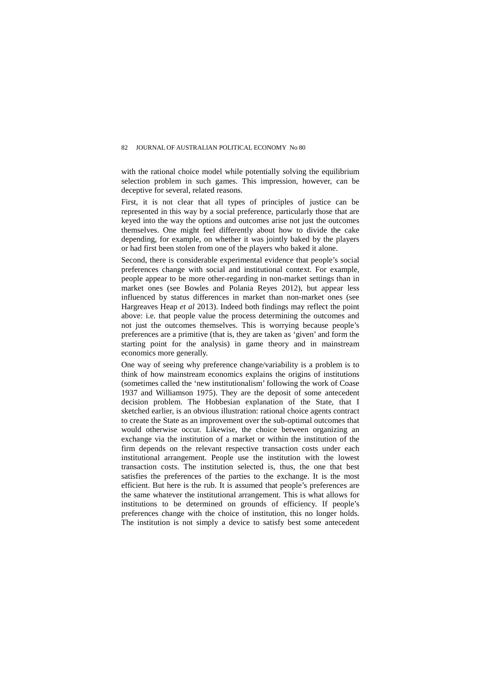with the rational choice model while potentially solving the equilibrium selection problem in such games. This impression, however, can be deceptive for several, related reasons.

First, it is not clear that all types of principles of justice can be represented in this way by a social preference, particularly those that are keyed into the way the options and outcomes arise not just the outcomes themselves. One might feel differently about how to divide the cake depending, for example, on whether it was jointly baked by the players or had first been stolen from one of the players who baked it alone.

Second, there is considerable experimental evidence that people's social preferences change with social and institutional context. For example, people appear to be more other-regarding in non-market settings than in market ones (see Bowles and Polania Reyes 2012), but appear less influenced by status differences in market than non-market ones (see Hargreaves Heap *et al* 2013). Indeed both findings may reflect the point above: i.e. that people value the process determining the outcomes and not just the outcomes themselves. This is worrying because people's preferences are a primitive (that is, they are taken as 'given' and form the starting point for the analysis) in game theory and in mainstream economics more generally.

One way of seeing why preference change/variability is a problem is to think of how mainstream economics explains the origins of institutions (sometimes called the 'new institutionalism' following the work of Coase 1937 and Williamson 1975). They are the deposit of some antecedent decision problem. The Hobbesian explanation of the State, that I sketched earlier, is an obvious illustration: rational choice agents contract to create the State as an improvement over the sub-optimal outcomes that would otherwise occur. Likewise, the choice between organizing an exchange via the institution of a market or within the institution of the firm depends on the relevant respective transaction costs under each institutional arrangement. People use the institution with the lowest transaction costs. The institution selected is, thus, the one that best satisfies the preferences of the parties to the exchange. It is the most efficient. But here is the rub. It is assumed that people's preferences are the same whatever the institutional arrangement. This is what allows for institutions to be determined on grounds of efficiency. If people's preferences change with the choice of institution, this no longer holds. The institution is not simply a device to satisfy best some antecedent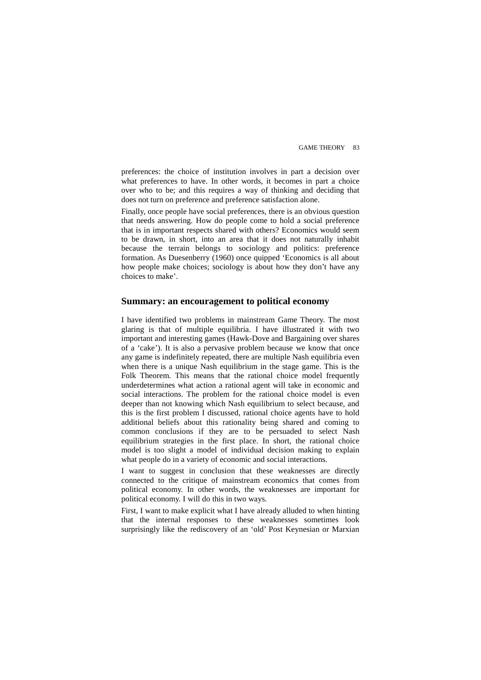preferences: the choice of institution involves in part a decision over what preferences to have. In other words, it becomes in part a choice over who to be; and this requires a way of thinking and deciding that does not turn on preference and preference satisfaction alone.

Finally, once people have social preferences, there is an obvious question that needs answering. How do people come to hold a social preference that is in important respects shared with others? Economics would seem to be drawn, in short, into an area that it does not naturally inhabit because the terrain belongs to sociology and politics: preference formation. As Duesenberry (1960) once quipped 'Economics is all about how people make choices; sociology is about how they don't have any choices to make'.

#### **Summary: an encouragement to political economy**

I have identified two problems in mainstream Game Theory. The most glaring is that of multiple equilibria. I have illustrated it with two important and interesting games (Hawk-Dove and Bargaining over shares of a 'cake'). It is also a pervasive problem because we know that once any game is indefinitely repeated, there are multiple Nash equilibria even when there is a unique Nash equilibrium in the stage game. This is the Folk Theorem. This means that the rational choice model frequently underdetermines what action a rational agent will take in economic and social interactions. The problem for the rational choice model is even deeper than not knowing which Nash equilibrium to select because, and this is the first problem I discussed, rational choice agents have to hold additional beliefs about this rationality being shared and coming to common conclusions if they are to be persuaded to select Nash equilibrium strategies in the first place. In short, the rational choice model is too slight a model of individual decision making to explain what people do in a variety of economic and social interactions.

I want to suggest in conclusion that these weaknesses are directly connected to the critique of mainstream economics that comes from political economy. In other words, the weaknesses are important for political economy. I will do this in two ways.

First, I want to make explicit what I have already alluded to when hinting that the internal responses to these weaknesses sometimes look surprisingly like the rediscovery of an 'old' Post Keynesian or Marxian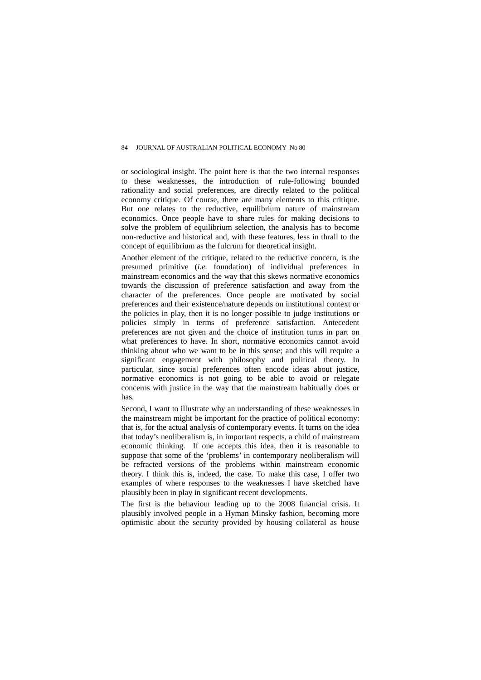or sociological insight. The point here is that the two internal responses to these weaknesses, the introduction of rule-following bounded rationality and social preferences, are directly related to the political economy critique. Of course, there are many elements to this critique. But one relates to the reductive, equilibrium nature of mainstream economics. Once people have to share rules for making decisions to solve the problem of equilibrium selection, the analysis has to become non-reductive and historical and, with these features, less in thrall to the concept of equilibrium as the fulcrum for theoretical insight.

Another element of the critique, related to the reductive concern, is the presumed primitive (*i.e.* foundation) of individual preferences in mainstream economics and the way that this skews normative economics towards the discussion of preference satisfaction and away from the character of the preferences. Once people are motivated by social preferences and their existence/nature depends on institutional context or the policies in play, then it is no longer possible to judge institutions or policies simply in terms of preference satisfaction. Antecedent preferences are not given and the choice of institution turns in part on what preferences to have. In short, normative economics cannot avoid thinking about who we want to be in this sense; and this will require a significant engagement with philosophy and political theory. In particular, since social preferences often encode ideas about justice, normative economics is not going to be able to avoid or relegate concerns with justice in the way that the mainstream habitually does or has.

Second, I want to illustrate why an understanding of these weaknesses in the mainstream might be important for the practice of political economy: that is, for the actual analysis of contemporary events. It turns on the idea that today's neoliberalism is, in important respects, a child of mainstream economic thinking. If one accepts this idea, then it is reasonable to suppose that some of the 'problems' in contemporary neoliberalism will be refracted versions of the problems within mainstream economic theory. I think this is, indeed, the case. To make this case, I offer two examples of where responses to the weaknesses I have sketched have plausibly been in play in significant recent developments.

The first is the behaviour leading up to the 2008 financial crisis. It plausibly involved people in a Hyman Minsky fashion, becoming more optimistic about the security provided by housing collateral as house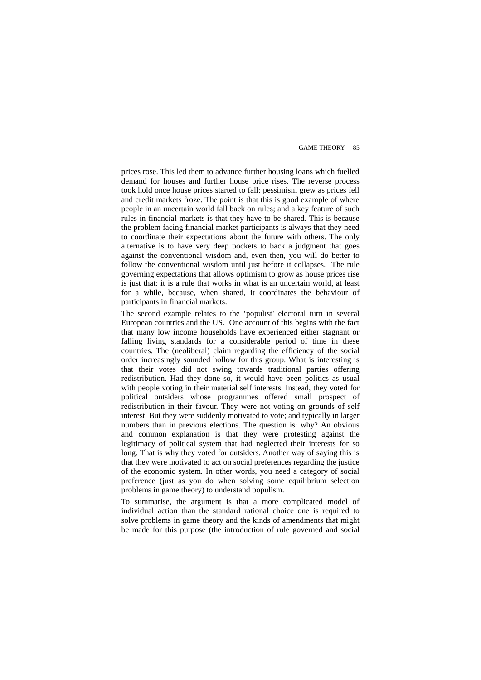prices rose. This led them to advance further housing loans which fuelled demand for houses and further house price rises. The reverse process took hold once house prices started to fall: pessimism grew as prices fell and credit markets froze. The point is that this is good example of where people in an uncertain world fall back on rules; and a key feature of such rules in financial markets is that they have to be shared. This is because the problem facing financial market participants is always that they need to coordinate their expectations about the future with others. The only alternative is to have very deep pockets to back a judgment that goes against the conventional wisdom and, even then, you will do better to follow the conventional wisdom until just before it collapses. The rule governing expectations that allows optimism to grow as house prices rise is just that: it is a rule that works in what is an uncertain world, at least for a while, because, when shared, it coordinates the behaviour of participants in financial markets.

The second example relates to the 'populist' electoral turn in several European countries and the US. One account of this begins with the fact that many low income households have experienced either stagnant or falling living standards for a considerable period of time in these countries. The (neoliberal) claim regarding the efficiency of the social order increasingly sounded hollow for this group. What is interesting is that their votes did not swing towards traditional parties offering redistribution. Had they done so, it would have been politics as usual with people voting in their material self interests. Instead, they voted for political outsiders whose programmes offered small prospect of redistribution in their favour. They were not voting on grounds of self interest. But they were suddenly motivated to vote; and typically in larger numbers than in previous elections. The question is: why? An obvious and common explanation is that they were protesting against the legitimacy of political system that had neglected their interests for so long. That is why they voted for outsiders. Another way of saying this is that they were motivated to act on social preferences regarding the justice of the economic system. In other words, you need a category of social preference (just as you do when solving some equilibrium selection problems in game theory) to understand populism.

To summarise, the argument is that a more complicated model of individual action than the standard rational choice one is required to solve problems in game theory and the kinds of amendments that might be made for this purpose (the introduction of rule governed and social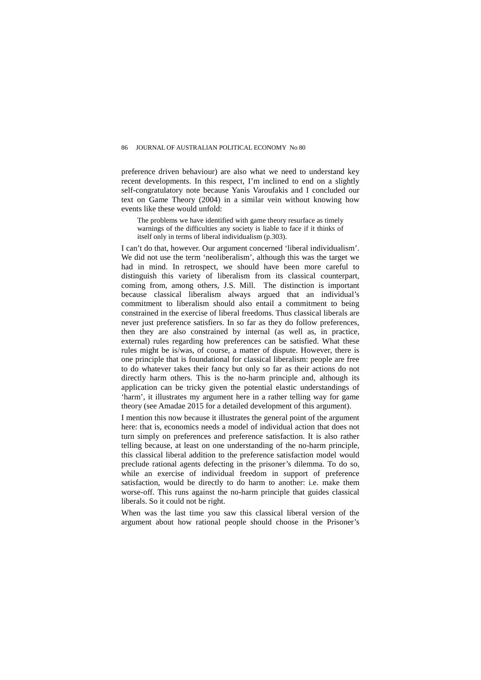preference driven behaviour) are also what we need to understand key recent developments. In this respect, I'm inclined to end on a slightly self-congratulatory note because Yanis Varoufakis and I concluded our text on Game Theory (2004) in a similar vein without knowing how events like these would unfold:

The problems we have identified with game theory resurface as timely warnings of the difficulties any society is liable to face if it thinks of itself only in terms of liberal individualism (p.303).

I can't do that, however. Our argument concerned 'liberal individualism'. We did not use the term 'neoliberalism', although this was the target we had in mind. In retrospect, we should have been more careful to distinguish this variety of liberalism from its classical counterpart, coming from, among others, J.S. Mill. The distinction is important because classical liberalism always argued that an individual's commitment to liberalism should also entail a commitment to being constrained in the exercise of liberal freedoms. Thus classical liberals are never just preference satisfiers. In so far as they do follow preferences, then they are also constrained by internal (as well as, in practice, external) rules regarding how preferences can be satisfied. What these rules might be is/was, of course, a matter of dispute. However, there is one principle that is foundational for classical liberalism: people are free to do whatever takes their fancy but only so far as their actions do not directly harm others. This is the no-harm principle and, although its application can be tricky given the potential elastic understandings of 'harm', it illustrates my argument here in a rather telling way for game theory (see Amadae 2015 for a detailed development of this argument).

I mention this now because it illustrates the general point of the argument here: that is, economics needs a model of individual action that does not turn simply on preferences and preference satisfaction. It is also rather telling because, at least on one understanding of the no-harm principle, this classical liberal addition to the preference satisfaction model would preclude rational agents defecting in the prisoner's dilemma. To do so, while an exercise of individual freedom in support of preference satisfaction, would be directly to do harm to another: i.e. make them worse-off. This runs against the no-harm principle that guides classical liberals. So it could not be right.

When was the last time you saw this classical liberal version of the argument about how rational people should choose in the Prisoner's